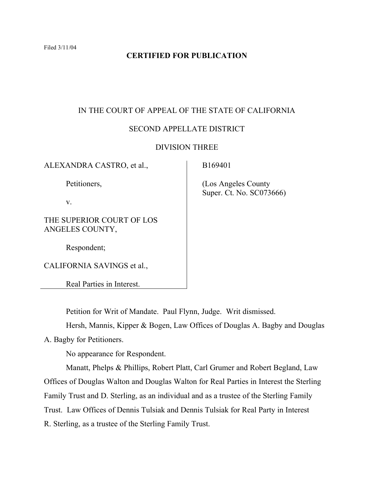# **CERTIFIED FOR PUBLICATION**

## IN THE COURT OF APPEAL OF THE STATE OF CALIFORNIA

# SECOND APPELLATE DISTRICT

#### DIVISION THREE

| ALEXANDRA CASTRO, et al.,                    | B169401                                          |
|----------------------------------------------|--------------------------------------------------|
| Petitioners,                                 | (Los Angeles County)<br>Super. Ct. No. SC073666) |
| V.                                           |                                                  |
| THE SUPERIOR COURT OF LOS<br>ANGELES COUNTY, |                                                  |
| Respondent;                                  |                                                  |
| CALIFORNIA SAVINGS et al.,                   |                                                  |
| Real Parties in Interest.                    |                                                  |

Petition for Writ of Mandate. Paul Flynn, Judge. Writ dismissed.

Hersh, Mannis, Kipper & Bogen, Law Offices of Douglas A. Bagby and Douglas

A. Bagby for Petitioners.

No appearance for Respondent.

Manatt, Phelps & Phillips, Robert Platt, Carl Grumer and Robert Begland, Law Offices of Douglas Walton and Douglas Walton for Real Parties in Interest the Sterling Family Trust and D. Sterling, as an individual and as a trustee of the Sterling Family Trust. Law Offices of Dennis Tulsiak and Dennis Tulsiak for Real Party in Interest R. Sterling, as a trustee of the Sterling Family Trust.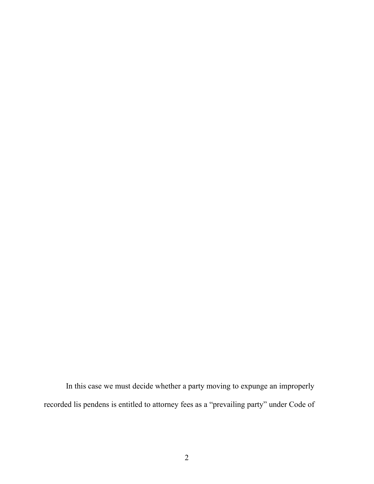In this case we must decide whether a party moving to expunge an improperly recorded lis pendens is entitled to attorney fees as a "prevailing party" under Code of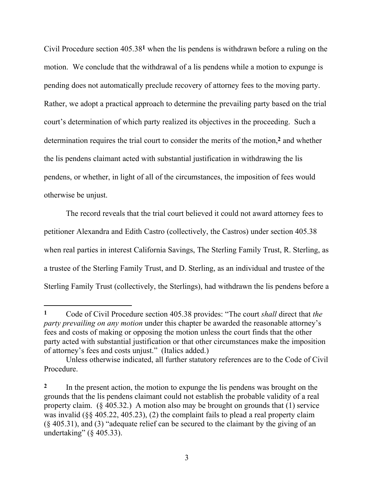Civil Procedure section 405.38**1** when the lis pendens is withdrawn before a ruling on the motion. We conclude that the withdrawal of a lis pendens while a motion to expunge is pending does not automatically preclude recovery of attorney fees to the moving party. Rather, we adopt a practical approach to determine the prevailing party based on the trial court's determination of which party realized its objectives in the proceeding. Such a determination requires the trial court to consider the merits of the motion,**2** and whether the lis pendens claimant acted with substantial justification in withdrawing the lis pendens, or whether, in light of all of the circumstances, the imposition of fees would otherwise be unjust.

The record reveals that the trial court believed it could not award attorney fees to petitioner Alexandra and Edith Castro (collectively, the Castros) under section 405.38 when real parties in interest California Savings, The Sterling Family Trust, R. Sterling, as a trustee of the Sterling Family Trust, and D. Sterling, as an individual and trustee of the Sterling Family Trust (collectively, the Sterlings), had withdrawn the lis pendens before a

**<sup>1</sup>** Code of Civil Procedure section 405.38 provides: "The court *shall* direct that *the party prevailing on any motion* under this chapter be awarded the reasonable attorney's fees and costs of making or opposing the motion unless the court finds that the other party acted with substantial justification or that other circumstances make the imposition of attorney's fees and costs unjust." (Italics added.)

Unless otherwise indicated, all further statutory references are to the Code of Civil Procedure.

**<sup>2</sup>** In the present action, the motion to expunge the lis pendens was brought on the grounds that the lis pendens claimant could not establish the probable validity of a real property claim. (§ 405.32.) A motion also may be brought on grounds that (1) service was invalid (§§ 405.22, 405.23), (2) the complaint fails to plead a real property claim (§ 405.31), and (3) "adequate relief can be secured to the claimant by the giving of an undertaking" (§ 405.33).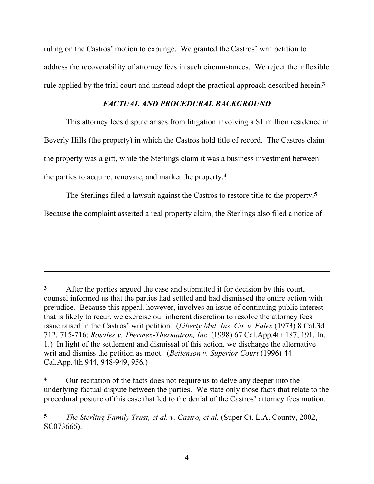ruling on the Castros' motion to expunge. We granted the Castros' writ petition to address the recoverability of attorney fees in such circumstances. We reject the inflexible rule applied by the trial court and instead adopt the practical approach described herein.**3**

# *FACTUAL AND PROCEDURAL BACKGROUND*

This attorney fees dispute arises from litigation involving a \$1 million residence in Beverly Hills (the property) in which the Castros hold title of record. The Castros claim the property was a gift, while the Sterlings claim it was a business investment between the parties to acquire, renovate, and market the property.**4**

The Sterlings filed a lawsuit against the Castros to restore title to the property.**5**

Because the complaint asserted a real property claim, the Sterlings also filed a notice of

 $\overline{a}$ 

**5** *The Sterling Family Trust, et al. v. Castro, et al.* (Super Ct. L.A. County, 2002, SC073666).

**<sup>3</sup>** After the parties argued the case and submitted it for decision by this court, counsel informed us that the parties had settled and had dismissed the entire action with prejudice. Because this appeal, however, involves an issue of continuing public interest that is likely to recur, we exercise our inherent discretion to resolve the attorney fees issue raised in the Castros' writ petition. (*Liberty Mut. Ins. Co. v. Fales* (1973) 8 Cal.3d 712, 715-716; *Rosales v. Thermex-Thermatron, Inc.* (1998) 67 Cal.App.4th 187, 191, fn. 1.) In light of the settlement and dismissal of this action, we discharge the alternative writ and dismiss the petition as moot. (*Beilenson v. Superior Court* (1996) 44 Cal.App.4th 944, 948-949, 956.)

**<sup>4</sup>** Our recitation of the facts does not require us to delve any deeper into the underlying factual dispute between the parties. We state only those facts that relate to the procedural posture of this case that led to the denial of the Castros' attorney fees motion.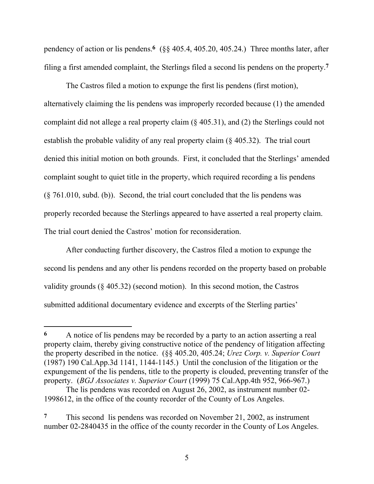pendency of action or lis pendens.**6** (§§ 405.4, 405.20, 405.24.) Three months later, after filing a first amended complaint, the Sterlings filed a second lis pendens on the property.**7**

The Castros filed a motion to expunge the first lis pendens (first motion), alternatively claiming the lis pendens was improperly recorded because (1) the amended complaint did not allege a real property claim (§ 405.31), and (2) the Sterlings could not establish the probable validity of any real property claim (§ 405.32). The trial court denied this initial motion on both grounds. First, it concluded that the Sterlings' amended complaint sought to quiet title in the property, which required recording a lis pendens (§ 761.010, subd. (b)). Second, the trial court concluded that the lis pendens was properly recorded because the Sterlings appeared to have asserted a real property claim. The trial court denied the Castros' motion for reconsideration.

After conducting further discovery, the Castros filed a motion to expunge the second lis pendens and any other lis pendens recorded on the property based on probable validity grounds (§ 405.32) (second motion). In this second motion, the Castros submitted additional documentary evidence and excerpts of the Sterling parties'

**<sup>6</sup>** A notice of lis pendens may be recorded by a party to an action asserting a real property claim, thereby giving constructive notice of the pendency of litigation affecting the property described in the notice. (§§ 405.20, 405.24; *Urez Corp. v. Superior Court* (1987) 190 Cal.App.3d 1141, 1144-1145.) Until the conclusion of the litigation or the expungement of the lis pendens, title to the property is clouded, preventing transfer of the property. (*BGJ Associates v. Superior Court* (1999) 75 Cal.App.4th 952, 966-967.)

The lis pendens was recorded on August 26, 2002, as instrument number 02- 1998612, in the office of the county recorder of the County of Los Angeles.

**<sup>7</sup>** This second lis pendens was recorded on November 21, 2002, as instrument number 02-2840435 in the office of the county recorder in the County of Los Angeles.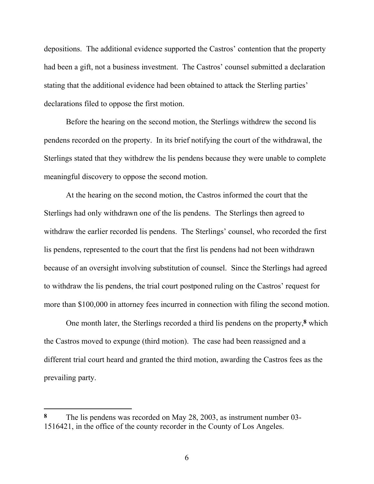depositions. The additional evidence supported the Castros' contention that the property had been a gift, not a business investment. The Castros' counsel submitted a declaration stating that the additional evidence had been obtained to attack the Sterling parties' declarations filed to oppose the first motion.

Before the hearing on the second motion, the Sterlings withdrew the second lis pendens recorded on the property. In its brief notifying the court of the withdrawal, the Sterlings stated that they withdrew the lis pendens because they were unable to complete meaningful discovery to oppose the second motion.

At the hearing on the second motion, the Castros informed the court that the Sterlings had only withdrawn one of the lis pendens. The Sterlings then agreed to withdraw the earlier recorded lis pendens. The Sterlings' counsel, who recorded the first lis pendens, represented to the court that the first lis pendens had not been withdrawn because of an oversight involving substitution of counsel. Since the Sterlings had agreed to withdraw the lis pendens, the trial court postponed ruling on the Castros' request for more than \$100,000 in attorney fees incurred in connection with filing the second motion.

One month later, the Sterlings recorded a third lis pendens on the property,**8** which the Castros moved to expunge (third motion). The case had been reassigned and a different trial court heard and granted the third motion, awarding the Castros fees as the prevailing party.

**<sup>8</sup>** The lis pendens was recorded on May 28, 2003, as instrument number 03- 1516421, in the office of the county recorder in the County of Los Angeles.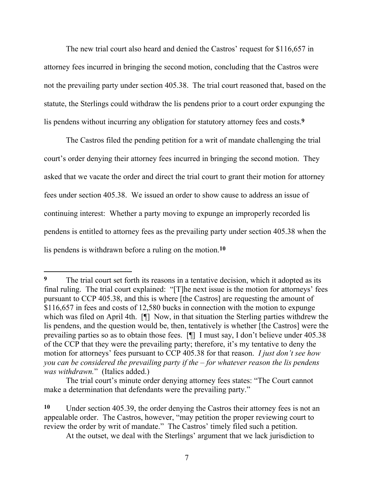The new trial court also heard and denied the Castros' request for \$116,657 in attorney fees incurred in bringing the second motion, concluding that the Castros were not the prevailing party under section 405.38. The trial court reasoned that, based on the statute, the Sterlings could withdraw the lis pendens prior to a court order expunging the lis pendens without incurring any obligation for statutory attorney fees and costs.**9**

The Castros filed the pending petition for a writ of mandate challenging the trial court's order denying their attorney fees incurred in bringing the second motion. They asked that we vacate the order and direct the trial court to grant their motion for attorney fees under section 405.38. We issued an order to show cause to address an issue of continuing interest: Whether a party moving to expunge an improperly recorded lis pendens is entitled to attorney fees as the prevailing party under section 405.38 when the lis pendens is withdrawn before a ruling on the motion.**10**

**<sup>9</sup>** The trial court set forth its reasons in a tentative decision, which it adopted as its final ruling. The trial court explained: "[T]he next issue is the motion for attorneys' fees pursuant to CCP 405.38, and this is where [the Castros] are requesting the amount of \$116,657 in fees and costs of 12,580 bucks in connection with the motion to expunge which was filed on April 4th. [ $\parallel$ ] Now, in that situation the Sterling parties withdrew the lis pendens, and the question would be, then, tentatively is whether [the Castros] were the prevailing parties so as to obtain those fees. [¶] I must say, I don't believe under 405.38 of the CCP that they were the prevailing party; therefore, it's my tentative to deny the motion for attorneys' fees pursuant to CCP 405.38 for that reason. *I just don't see how you can be considered the prevailing party if the – for whatever reason the lis pendens was withdrawn.*" (Italics added.)

The trial court's minute order denying attorney fees states: "The Court cannot make a determination that defendants were the prevailing party."

**<sup>10</sup>** Under section 405.39, the order denying the Castros their attorney fees is not an appealable order. The Castros, however, "may petition the proper reviewing court to review the order by writ of mandate." The Castros' timely filed such a petition.

At the outset, we deal with the Sterlings' argument that we lack jurisdiction to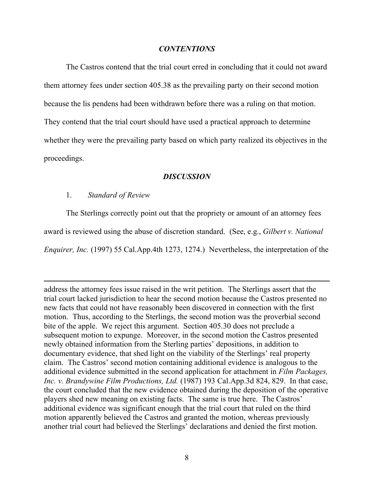#### *CONTENTIONS*

The Castros contend that the trial court erred in concluding that it could not award them attorney fees under section 405.38 as the prevailing party on their second motion because the lis pendens had been withdrawn before there was a ruling on that motion. They contend that the trial court should have used a practical approach to determine whether they were the prevailing party based on which party realized its objectives in the proceedings.

#### *DISCUSSION*

#### 1. *Standard of Review*

 $\overline{a}$ 

The Sterlings correctly point out that the propriety or amount of an attorney fees award is reviewed using the abuse of discretion standard. (See, e.g., *Gilbert v. National Enquirer, Inc.* (1997) 55 Cal.App.4th 1273, 1274.) Nevertheless, the interpretation of the

address the attorney fees issue raised in the writ petition. The Sterlings assert that the trial court lacked jurisdiction to hear the second motion because the Castros presented no new facts that could not have reasonably been discovered in connection with the first motion. Thus, according to the Sterlings, the second motion was the proverbial second bite of the apple. We reject this argument. Section 405.30 does not preclude a subsequent motion to expunge. Moreover, in the second motion the Castros presented newly obtained information from the Sterling parties' depositions, in addition to documentary evidence, that shed light on the viability of the Sterlings' real property claim. The Castros' second motion containing additional evidence is analogous to the additional evidence submitted in the second application for attachment in *Film Packages, Inc. v. Brandywine Film Productions, Ltd.* (1987) 193 Cal.App.3d 824, 829. In that case, the court concluded that the new evidence obtained during the deposition of the operative players shed new meaning on existing facts. The same is true here. The Castros' additional evidence was significant enough that the trial court that ruled on the third motion apparently believed the Castros and granted the motion, whereas previously another trial court had believed the Sterlings' declarations and denied the first motion.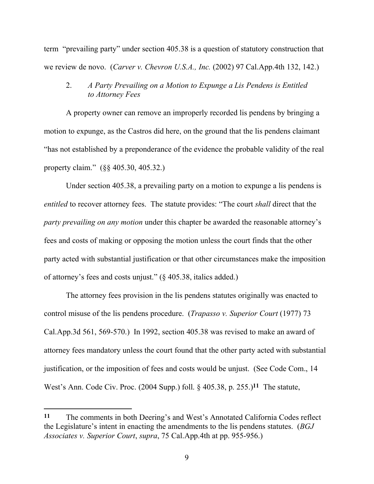term "prevailing party" under section 405.38 is a question of statutory construction that we review de novo. (*Carver v. Chevron U.S.A., Inc.* (2002) 97 Cal.App.4th 132, 142.)

### 2. *A Party Prevailing on a Motion to Expunge a Lis Pendens is Entitled to Attorney Fees*

A property owner can remove an improperly recorded lis pendens by bringing a motion to expunge, as the Castros did here, on the ground that the lis pendens claimant "has not established by a preponderance of the evidence the probable validity of the real property claim." (§§ 405.30, 405.32.)

Under section 405.38, a prevailing party on a motion to expunge a lis pendens is *entitled* to recover attorney fees. The statute provides: "The court *shall* direct that the *party prevailing on any motion* under this chapter be awarded the reasonable attorney's fees and costs of making or opposing the motion unless the court finds that the other party acted with substantial justification or that other circumstances make the imposition of attorney's fees and costs unjust." (§ 405.38, italics added.)

The attorney fees provision in the lis pendens statutes originally was enacted to control misuse of the lis pendens procedure. (*Trapasso v. Superior Court* (1977) 73 Cal.App.3d 561, 569-570.) In 1992, section 405.38 was revised to make an award of attorney fees mandatory unless the court found that the other party acted with substantial justification, or the imposition of fees and costs would be unjust. (See Code Com., 14 West's Ann. Code Civ. Proc. (2004 Supp.) foll. § 405.38, p. 255.)**11** The statute,

**<sup>11</sup>** The comments in both Deering's and West's Annotated California Codes reflect the Legislature's intent in enacting the amendments to the lis pendens statutes. (*BGJ Associates v. Superior Court*, *supra*, 75 Cal.App.4th at pp. 955-956.)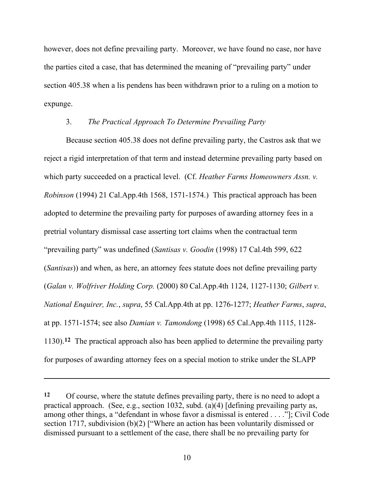however, does not define prevailing party. Moreover, we have found no case, nor have the parties cited a case, that has determined the meaning of "prevailing party" under section 405.38 when a lis pendens has been withdrawn prior to a ruling on a motion to expunge.

#### 3. *The Practical Approach To Determine Prevailing Party*

Because section 405.38 does not define prevailing party, the Castros ask that we reject a rigid interpretation of that term and instead determine prevailing party based on which party succeeded on a practical level. (Cf. *Heather Farms Homeowners Assn. v. Robinson* (1994) 21 Cal.App.4th 1568, 1571-1574.) This practical approach has been adopted to determine the prevailing party for purposes of awarding attorney fees in a pretrial voluntary dismissal case asserting tort claims when the contractual term "prevailing party" was undefined (*Santisas v. Goodin* (1998) 17 Cal.4th 599, 622 (*Santisas*)) and when, as here, an attorney fees statute does not define prevailing party (*Galan v. Wolfriver Holding Corp.* (2000) 80 Cal.App.4th 1124, 1127-1130; *Gilbert v. National Enquirer, Inc.*, *supra*, 55 Cal.App.4th at pp. 1276-1277; *Heather Farms*, *supra*, at pp. 1571-1574; see also *Damian v. Tamondong* (1998) 65 Cal.App.4th 1115, 1128- 1130).**12** The practical approach also has been applied to determine the prevailing party for purposes of awarding attorney fees on a special motion to strike under the SLAPP

**<sup>12</sup>** Of course, where the statute defines prevailing party, there is no need to adopt a practical approach. (See, e.g., section 1032, subd. (a) $\overline{(4)}$  [defining prevailing party as, among other things, a "defendant in whose favor a dismissal is entered . . . ."]; Civil Code section 1717, subdivision (b)(2) ["Where an action has been voluntarily dismissed or dismissed pursuant to a settlement of the case, there shall be no prevailing party for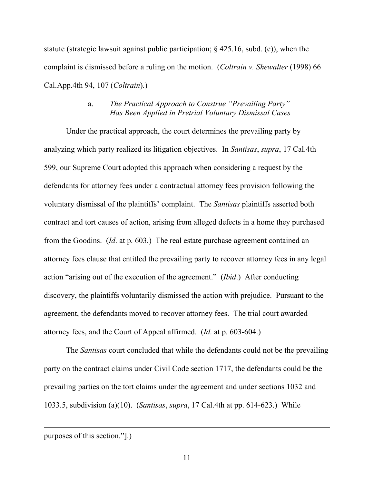statute (strategic lawsuit against public participation; § 425.16, subd. (c)), when the complaint is dismissed before a ruling on the motion. (*Coltrain v. Shewalter* (1998) 66 Cal.App.4th 94, 107 (*Coltrain*).)

## a. *The Practical Approach to Construe "Prevailing Party" Has Been Applied in Pretrial Voluntary Dismissal Cases*

Under the practical approach, the court determines the prevailing party by analyzing which party realized its litigation objectives. In *Santisas*, *supra*, 17 Cal.4th 599, our Supreme Court adopted this approach when considering a request by the defendants for attorney fees under a contractual attorney fees provision following the voluntary dismissal of the plaintiffs' complaint. The *Santisas* plaintiffs asserted both contract and tort causes of action, arising from alleged defects in a home they purchased from the Goodins. (*Id*. at p. 603.) The real estate purchase agreement contained an attorney fees clause that entitled the prevailing party to recover attorney fees in any legal action "arising out of the execution of the agreement." (*Ibid*.) After conducting discovery, the plaintiffs voluntarily dismissed the action with prejudice. Pursuant to the agreement, the defendants moved to recover attorney fees. The trial court awarded attorney fees, and the Court of Appeal affirmed. (*Id*. at p. 603-604.)

The *Santisas* court concluded that while the defendants could not be the prevailing party on the contract claims under Civil Code section 1717, the defendants could be the prevailing parties on the tort claims under the agreement and under sections 1032 and 1033.5, subdivision (a)(10). (*Santisas*, *supra*, 17 Cal.4th at pp. 614-623.) While

purposes of this section."].)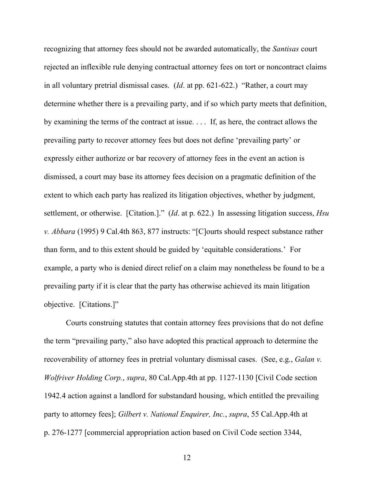recognizing that attorney fees should not be awarded automatically, the *Santisas* court rejected an inflexible rule denying contractual attorney fees on tort or noncontract claims in all voluntary pretrial dismissal cases. (*Id*. at pp. 621-622.) "Rather, a court may determine whether there is a prevailing party, and if so which party meets that definition, by examining the terms of the contract at issue. . . . If, as here, the contract allows the prevailing party to recover attorney fees but does not define 'prevailing party' or expressly either authorize or bar recovery of attorney fees in the event an action is dismissed, a court may base its attorney fees decision on a pragmatic definition of the extent to which each party has realized its litigation objectives, whether by judgment, settlement, or otherwise. [Citation.]." (*Id*. at p. 622.) In assessing litigation success, *Hsu v. Abbara* (1995) 9 Cal.4th 863, 877 instructs: "[C]ourts should respect substance rather than form, and to this extent should be guided by 'equitable considerations.' For example, a party who is denied direct relief on a claim may nonetheless be found to be a prevailing party if it is clear that the party has otherwise achieved its main litigation objective. [Citations.]"

Courts construing statutes that contain attorney fees provisions that do not define the term "prevailing party," also have adopted this practical approach to determine the recoverability of attorney fees in pretrial voluntary dismissal cases. (See, e.g., *Galan v. Wolfriver Holding Corp.*, *supra*, 80 Cal.App.4th at pp. 1127-1130 [Civil Code section 1942.4 action against a landlord for substandard housing, which entitled the prevailing party to attorney fees]; *Gilbert v. National Enquirer, Inc.*, *supra*, 55 Cal.App.4th at p. 276-1277 [commercial appropriation action based on Civil Code section 3344,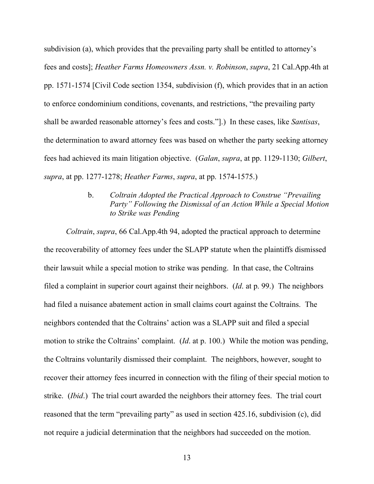subdivision (a), which provides that the prevailing party shall be entitled to attorney's fees and costs]; *Heather Farms Homeowners Assn. v. Robinson*, *supra*, 21 Cal.App.4th at pp. 1571-1574 [Civil Code section 1354, subdivision (f), which provides that in an action to enforce condominium conditions, covenants, and restrictions, "the prevailing party shall be awarded reasonable attorney's fees and costs."].) In these cases, like *Santisas*, the determination to award attorney fees was based on whether the party seeking attorney fees had achieved its main litigation objective. (*Galan*, *supra*, at pp. 1129-1130; *Gilbert*, *supra*, at pp. 1277-1278; *Heather Farms*, *supra*, at pp. 1574-1575.)

# b. *Coltrain Adopted the Practical Approach to Construe "Prevailing Party" Following the Dismissal of an Action While a Special Motion to Strike was Pending*

*Coltrain*, *supra*, 66 Cal.App.4th 94, adopted the practical approach to determine the recoverability of attorney fees under the SLAPP statute when the plaintiffs dismissed their lawsuit while a special motion to strike was pending. In that case, the Coltrains filed a complaint in superior court against their neighbors. (*Id*. at p. 99.) The neighbors had filed a nuisance abatement action in small claims court against the Coltrains. The neighbors contended that the Coltrains' action was a SLAPP suit and filed a special motion to strike the Coltrains' complaint. (*Id*. at p. 100.) While the motion was pending, the Coltrains voluntarily dismissed their complaint. The neighbors, however, sought to recover their attorney fees incurred in connection with the filing of their special motion to strike. (*Ibid*.) The trial court awarded the neighbors their attorney fees. The trial court reasoned that the term "prevailing party" as used in section 425.16, subdivision (c), did not require a judicial determination that the neighbors had succeeded on the motion.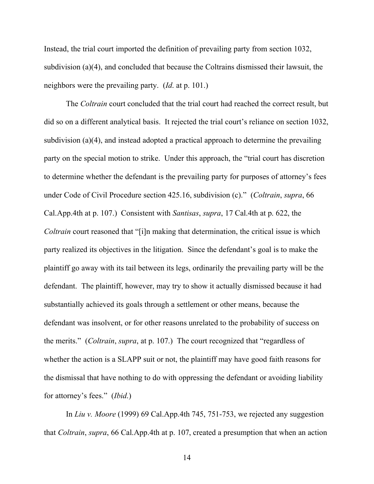Instead, the trial court imported the definition of prevailing party from section 1032, subdivision (a)(4), and concluded that because the Coltrains dismissed their lawsuit, the neighbors were the prevailing party. (*Id*. at p. 101.)

The *Coltrain* court concluded that the trial court had reached the correct result, but did so on a different analytical basis. It rejected the trial court's reliance on section 1032, subdivision (a)(4), and instead adopted a practical approach to determine the prevailing party on the special motion to strike. Under this approach, the "trial court has discretion to determine whether the defendant is the prevailing party for purposes of attorney's fees under Code of Civil Procedure section 425.16, subdivision (c)." (*Coltrain*, *supra*, 66 Cal.App.4th at p. 107.) Consistent with *Santisas*, *supra*, 17 Cal.4th at p. 622, the *Coltrain* court reasoned that "[i]n making that determination, the critical issue is which party realized its objectives in the litigation. Since the defendant's goal is to make the plaintiff go away with its tail between its legs, ordinarily the prevailing party will be the defendant. The plaintiff, however, may try to show it actually dismissed because it had substantially achieved its goals through a settlement or other means, because the defendant was insolvent, or for other reasons unrelated to the probability of success on the merits." (*Coltrain*, *supra*, at p. 107.) The court recognized that "regardless of whether the action is a SLAPP suit or not, the plaintiff may have good faith reasons for the dismissal that have nothing to do with oppressing the defendant or avoiding liability for attorney's fees." (*Ibid*.)

In *Liu v. Moore* (1999) 69 Cal.App.4th 745, 751-753, we rejected any suggestion that *Coltrain*, *supra*, 66 Cal.App.4th at p. 107, created a presumption that when an action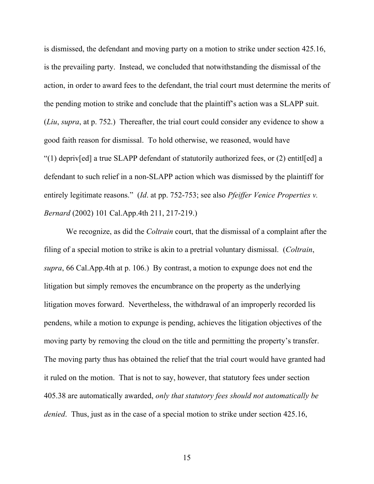is dismissed, the defendant and moving party on a motion to strike under section 425.16, is the prevailing party. Instead, we concluded that notwithstanding the dismissal of the action, in order to award fees to the defendant, the trial court must determine the merits of the pending motion to strike and conclude that the plaintiff's action was a SLAPP suit. (*Liu*, *supra*, at p. 752.) Thereafter, the trial court could consider any evidence to show a good faith reason for dismissal. To hold otherwise, we reasoned, would have "(1) depriv[ed] a true SLAPP defendant of statutorily authorized fees, or (2) entitl[ed] a defendant to such relief in a non-SLAPP action which was dismissed by the plaintiff for entirely legitimate reasons." (*Id*. at pp. 752-753; see also *Pfeiffer Venice Properties v. Bernard* (2002) 101 Cal.App.4th 211, 217-219.)

We recognize, as did the *Coltrain* court, that the dismissal of a complaint after the filing of a special motion to strike is akin to a pretrial voluntary dismissal. (*Coltrain*, *supra*, 66 Cal.App.4th at p. 106.) By contrast, a motion to expunge does not end the litigation but simply removes the encumbrance on the property as the underlying litigation moves forward. Nevertheless, the withdrawal of an improperly recorded lis pendens, while a motion to expunge is pending, achieves the litigation objectives of the moving party by removing the cloud on the title and permitting the property's transfer. The moving party thus has obtained the relief that the trial court would have granted had it ruled on the motion. That is not to say, however, that statutory fees under section 405.38 are automatically awarded, *only that statutory fees should not automatically be denied*. Thus, just as in the case of a special motion to strike under section 425.16,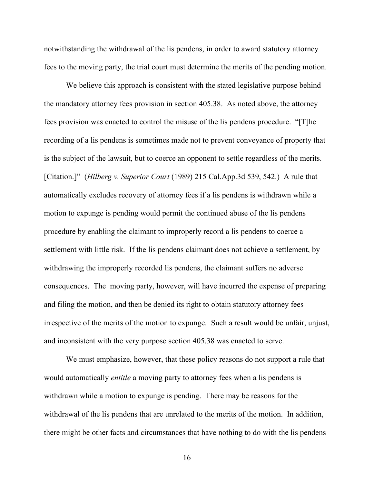notwithstanding the withdrawal of the lis pendens, in order to award statutory attorney fees to the moving party, the trial court must determine the merits of the pending motion.

We believe this approach is consistent with the stated legislative purpose behind the mandatory attorney fees provision in section 405.38. As noted above, the attorney fees provision was enacted to control the misuse of the lis pendens procedure. "[T]he recording of a lis pendens is sometimes made not to prevent conveyance of property that is the subject of the lawsuit, but to coerce an opponent to settle regardless of the merits. [Citation.]" (*Hilberg v. Superior Court* (1989) 215 Cal.App.3d 539, 542.) A rule that automatically excludes recovery of attorney fees if a lis pendens is withdrawn while a motion to expunge is pending would permit the continued abuse of the lis pendens procedure by enabling the claimant to improperly record a lis pendens to coerce a settlement with little risk. If the lis pendens claimant does not achieve a settlement, by withdrawing the improperly recorded lis pendens, the claimant suffers no adverse consequences. The moving party, however, will have incurred the expense of preparing and filing the motion, and then be denied its right to obtain statutory attorney fees irrespective of the merits of the motion to expunge. Such a result would be unfair, unjust, and inconsistent with the very purpose section 405.38 was enacted to serve.

We must emphasize, however, that these policy reasons do not support a rule that would automatically *entitle* a moving party to attorney fees when a lis pendens is withdrawn while a motion to expunge is pending. There may be reasons for the withdrawal of the lis pendens that are unrelated to the merits of the motion. In addition, there might be other facts and circumstances that have nothing to do with the lis pendens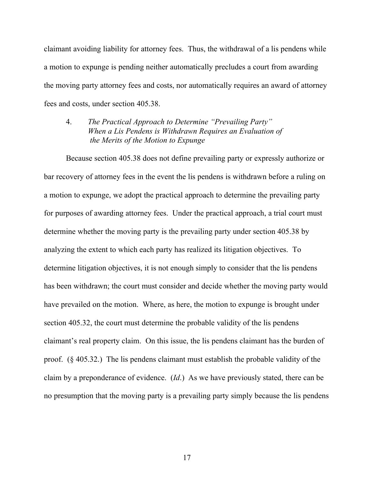claimant avoiding liability for attorney fees. Thus, the withdrawal of a lis pendens while a motion to expunge is pending neither automatically precludes a court from awarding the moving party attorney fees and costs, nor automatically requires an award of attorney fees and costs, under section 405.38.

4. *The Practical Approach to Determine "Prevailing Party" When a Lis Pendens is Withdrawn Requires an Evaluation of the Merits of the Motion to Expunge*

Because section 405.38 does not define prevailing party or expressly authorize or bar recovery of attorney fees in the event the lis pendens is withdrawn before a ruling on a motion to expunge, we adopt the practical approach to determine the prevailing party for purposes of awarding attorney fees. Under the practical approach, a trial court must determine whether the moving party is the prevailing party under section 405.38 by analyzing the extent to which each party has realized its litigation objectives. To determine litigation objectives, it is not enough simply to consider that the lis pendens has been withdrawn; the court must consider and decide whether the moving party would have prevailed on the motion. Where, as here, the motion to expunge is brought under section 405.32, the court must determine the probable validity of the lis pendens claimant's real property claim. On this issue, the lis pendens claimant has the burden of proof. (§ 405.32.) The lis pendens claimant must establish the probable validity of the claim by a preponderance of evidence. (*Id*.) As we have previously stated, there can be no presumption that the moving party is a prevailing party simply because the lis pendens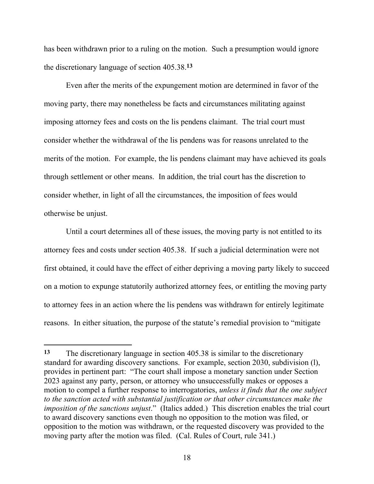has been withdrawn prior to a ruling on the motion. Such a presumption would ignore the discretionary language of section 405.38.**13**

Even after the merits of the expungement motion are determined in favor of the moving party, there may nonetheless be facts and circumstances militating against imposing attorney fees and costs on the lis pendens claimant. The trial court must consider whether the withdrawal of the lis pendens was for reasons unrelated to the merits of the motion. For example, the lis pendens claimant may have achieved its goals through settlement or other means. In addition, the trial court has the discretion to consider whether, in light of all the circumstances, the imposition of fees would otherwise be unjust.

Until a court determines all of these issues, the moving party is not entitled to its attorney fees and costs under section 405.38. If such a judicial determination were not first obtained, it could have the effect of either depriving a moving party likely to succeed on a motion to expunge statutorily authorized attorney fees, or entitling the moving party to attorney fees in an action where the lis pendens was withdrawn for entirely legitimate reasons. In either situation, the purpose of the statute's remedial provision to "mitigate

**<sup>13</sup>** The discretionary language in section 405.38 is similar to the discretionary standard for awarding discovery sanctions. For example, section 2030, subdivision (l), provides in pertinent part: "The court shall impose a monetary sanction under Section 2023 against any party, person, or attorney who unsuccessfully makes or opposes a motion to compel a further response to interrogatories, *unless it finds that the one subject to the sanction acted with substantial justification or that other circumstances make the imposition of the sanctions unjust*." (Italics added.) This discretion enables the trial court to award discovery sanctions even though no opposition to the motion was filed, or opposition to the motion was withdrawn, or the requested discovery was provided to the moving party after the motion was filed. (Cal. Rules of Court, rule 341.)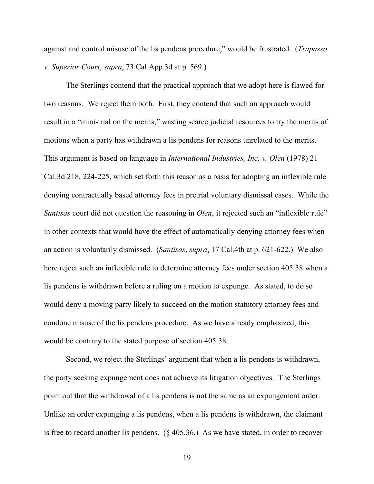against and control misuse of the lis pendens procedure," would be frustrated. (*Trapasso v. Superior Court*, *supra*, 73 Cal.App.3d at p. 569.)

The Sterlings contend that the practical approach that we adopt here is flawed for two reasons. We reject them both. First, they contend that such an approach would result in a "mini-trial on the merits," wasting scarce judicial resources to try the merits of motions when a party has withdrawn a lis pendens for reasons unrelated to the merits. This argument is based on language in *International Industries, Inc. v. Olen* (1978) 21 Cal.3d 218, 224-225, which set forth this reason as a basis for adopting an inflexible rule denying contractually based attorney fees in pretrial voluntary dismissal cases. While the *Santisas* court did not question the reasoning in *Olen*, it rejected such an "inflexible rule" in other contexts that would have the effect of automatically denying attorney fees when an action is voluntarily dismissed. (*Santisas*, *supra*, 17 Cal.4th at p. 621-622.) We also here reject such an inflexible rule to determine attorney fees under section 405.38 when a lis pendens is withdrawn before a ruling on a motion to expunge. As stated, to do so would deny a moving party likely to succeed on the motion statutory attorney fees and condone misuse of the lis pendens procedure. As we have already emphasized, this would be contrary to the stated purpose of section 405.38.

Second, we reject the Sterlings' argument that when a lis pendens is withdrawn, the party seeking expungement does not achieve its litigation objectives. The Sterlings point out that the withdrawal of a lis pendens is not the same as an expungement order. Unlike an order expunging a lis pendens, when a lis pendens is withdrawn, the claimant is free to record another lis pendens. (§ 405.36.) As we have stated, in order to recover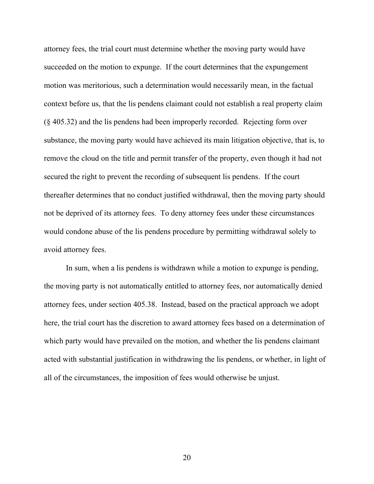attorney fees, the trial court must determine whether the moving party would have succeeded on the motion to expunge. If the court determines that the expungement motion was meritorious, such a determination would necessarily mean, in the factual context before us, that the lis pendens claimant could not establish a real property claim (§ 405.32) and the lis pendens had been improperly recorded. Rejecting form over substance, the moving party would have achieved its main litigation objective, that is, to remove the cloud on the title and permit transfer of the property, even though it had not secured the right to prevent the recording of subsequent lis pendens. If the court thereafter determines that no conduct justified withdrawal, then the moving party should not be deprived of its attorney fees. To deny attorney fees under these circumstances would condone abuse of the lis pendens procedure by permitting withdrawal solely to avoid attorney fees.

In sum, when a lis pendens is withdrawn while a motion to expunge is pending, the moving party is not automatically entitled to attorney fees, nor automatically denied attorney fees, under section 405.38. Instead, based on the practical approach we adopt here, the trial court has the discretion to award attorney fees based on a determination of which party would have prevailed on the motion, and whether the lis pendens claimant acted with substantial justification in withdrawing the lis pendens, or whether, in light of all of the circumstances, the imposition of fees would otherwise be unjust.